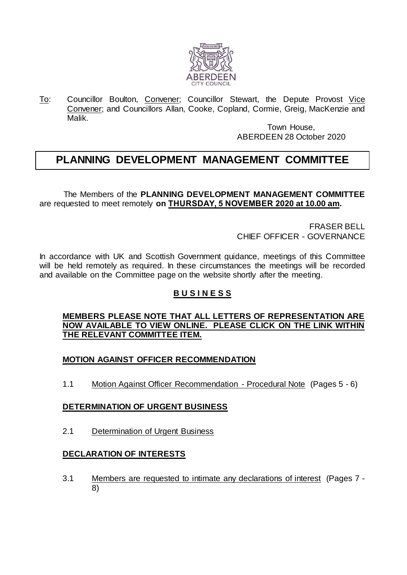

To: Councillor Boulton, Convener; Councillor Stewart, the Depute Provost Vice Convener; and Councillors Allan, Cooke, Copland, Cormie, Greig, MacKenzie and Malik.

> Town House, ABERDEEN 28 October 2020

# **PLANNING DEVELOPMENT MANAGEMENT COMMITTEE**

The Members of the **PLANNING DEVELOPMENT MANAGEMENT COMMITTEE** are requested to meet remotely **on THURSDAY, 5 NOVEMBER 2020 at 10.00 am.**

> FRASER BELL CHIEF OFFICER - GOVERNANCE

In accordance with UK and Scottish Government guidance, meetings of this Committee will be held remotely as required. In these circumstances the meetings will be recorded and available on the Committee page on the website shortly after the meeting.

# **B U S I N E S S**

#### **MEMBERS PLEASE NOTE THAT ALL LETTERS OF REPRESENTATION ARE NOW AVAILABLE TO VIEW ONLINE. PLEASE CLICK ON THE LINK WITHIN THE RELEVANT COMMITTEE ITEM.**

# **MOTION AGAINST OFFICER RECOMMENDATION**

1.1 Motion Against Officer Recommendation - Procedural Note (Pages 5 - 6)

#### **DETERMINATION OF URGENT BUSINESS**

2.1 Determination of Urgent Business

# **DECLARATION OF INTERESTS**

3.1 Members are requested to intimate any declarations of interest (Pages 7 - 8)